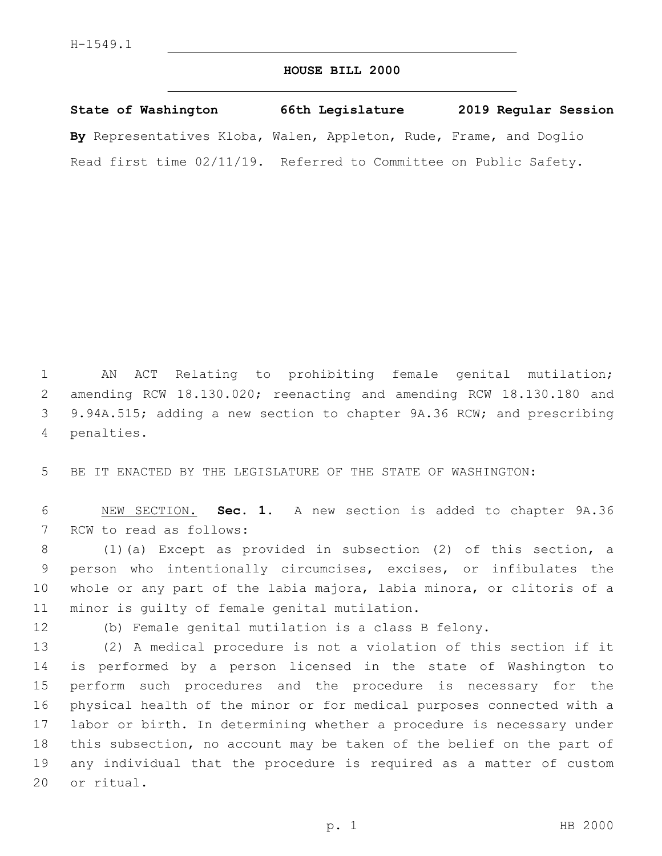## **HOUSE BILL 2000**

**State of Washington 66th Legislature 2019 Regular Session By** Representatives Kloba, Walen, Appleton, Rude, Frame, and Doglio Read first time 02/11/19. Referred to Committee on Public Safety.

 AN ACT Relating to prohibiting female genital mutilation; amending RCW 18.130.020; reenacting and amending RCW 18.130.180 and 9.94A.515; adding a new section to chapter 9A.36 RCW; and prescribing 4 penalties.

BE IT ENACTED BY THE LEGISLATURE OF THE STATE OF WASHINGTON:

 NEW SECTION. **Sec. 1.** A new section is added to chapter 9A.36 7 RCW to read as follows:

 (1)(a) Except as provided in subsection (2) of this section, a person who intentionally circumcises, excises, or infibulates the whole or any part of the labia majora, labia minora, or clitoris of a 11 minor is guilty of female genital mutilation.

(b) Female genital mutilation is a class B felony.

 (2) A medical procedure is not a violation of this section if it is performed by a person licensed in the state of Washington to perform such procedures and the procedure is necessary for the physical health of the minor or for medical purposes connected with a labor or birth. In determining whether a procedure is necessary under this subsection, no account may be taken of the belief on the part of any individual that the procedure is required as a matter of custom 20 or ritual.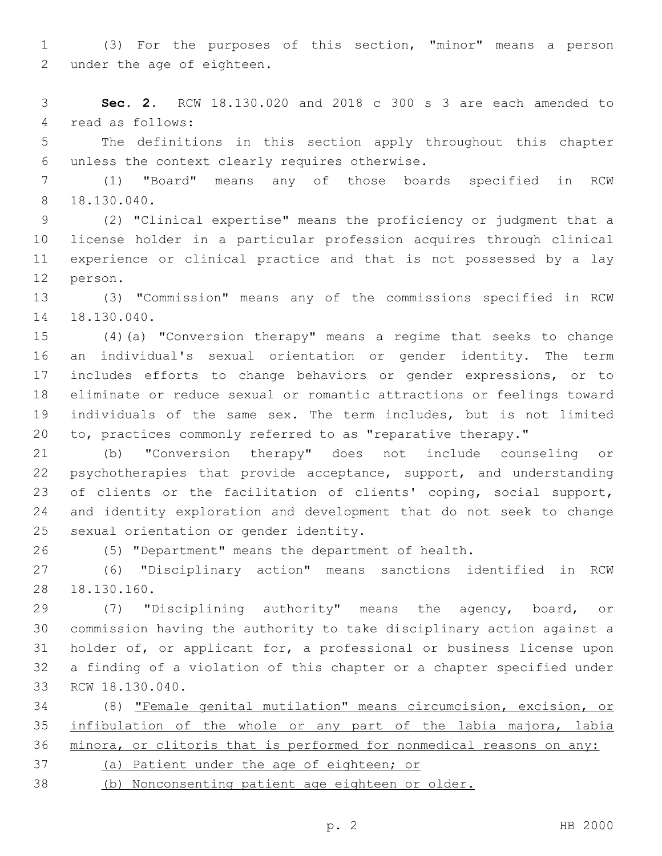(3) For the purposes of this section, "minor" means a person 2 under the age of eighteen.

 **Sec. 2.** RCW 18.130.020 and 2018 c 300 s 3 are each amended to 4 read as follows:

 The definitions in this section apply throughout this chapter unless the context clearly requires otherwise.6

 (1) "Board" means any of those boards specified in RCW 18.130.040.8

 (2) "Clinical expertise" means the proficiency or judgment that a license holder in a particular profession acquires through clinical experience or clinical practice and that is not possessed by a lay 12 person.

 (3) "Commission" means any of the commissions specified in RCW 14 18.130.040.

 (4)(a) "Conversion therapy" means a regime that seeks to change an individual's sexual orientation or gender identity. The term includes efforts to change behaviors or gender expressions, or to eliminate or reduce sexual or romantic attractions or feelings toward individuals of the same sex. The term includes, but is not limited to, practices commonly referred to as "reparative therapy."

 (b) "Conversion therapy" does not include counseling or psychotherapies that provide acceptance, support, and understanding of clients or the facilitation of clients' coping, social support, and identity exploration and development that do not seek to change 25 sexual orientation or gender identity.

(5) "Department" means the department of health.

 (6) "Disciplinary action" means sanctions identified in RCW 28 18.130.160.

 (7) "Disciplining authority" means the agency, board, or commission having the authority to take disciplinary action against a holder of, or applicant for, a professional or business license upon a finding of a violation of this chapter or a chapter specified under 33 RCW 18.130.040.

 (8) "Female genital mutilation" means circumcision, excision, or 35 infibulation of the whole or any part of the labia majora, labia minora, or clitoris that is performed for nonmedical reasons on any:

- (a) Patient under the age of eighteen; or
- (b) Nonconsenting patient age eighteen or older.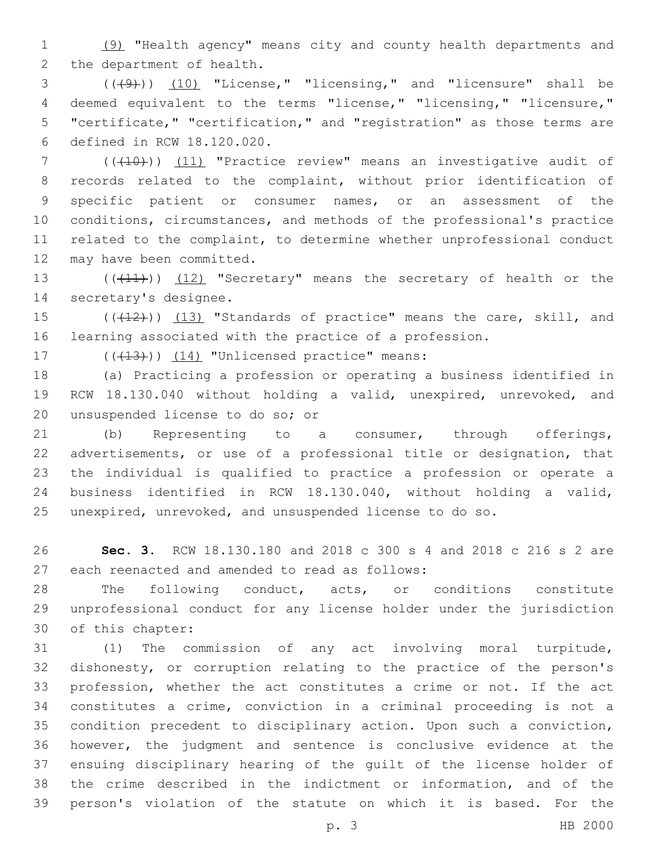(9) "Health agency" means city and county health departments and 2 the department of health.

 (((9))) (10) "License," "licensing," and "licensure" shall be deemed equivalent to the terms "license," "licensing," "licensure," "certificate," "certification," and "registration" as those terms are defined in RCW 18.120.020.6

 (((10))) (11) "Practice review" means an investigative audit of records related to the complaint, without prior identification of specific patient or consumer names, or an assessment of the conditions, circumstances, and methods of the professional's practice related to the complaint, to determine whether unprofessional conduct 12 may have been committed.

13 (((11))) (12) "Secretary" means the secretary of health or the 14 secretary's designee.

15 (((412))) (13) "Standards of practice" means the care, skill, and learning associated with the practice of a profession.

17  $((+13))$   $(14)$  "Unlicensed practice" means:

 (a) Practicing a profession or operating a business identified in RCW 18.130.040 without holding a valid, unexpired, unrevoked, and 20 unsuspended license to do so; or

 (b) Representing to a consumer, through offerings, advertisements, or use of a professional title or designation, that the individual is qualified to practice a profession or operate a business identified in RCW 18.130.040, without holding a valid, unexpired, unrevoked, and unsuspended license to do so.

 **Sec. 3.** RCW 18.130.180 and 2018 c 300 s 4 and 2018 c 216 s 2 are 27 each reenacted and amended to read as follows:

 The following conduct, acts, or conditions constitute unprofessional conduct for any license holder under the jurisdiction 30 of this chapter:

 (1) The commission of any act involving moral turpitude, dishonesty, or corruption relating to the practice of the person's profession, whether the act constitutes a crime or not. If the act constitutes a crime, conviction in a criminal proceeding is not a condition precedent to disciplinary action. Upon such a conviction, however, the judgment and sentence is conclusive evidence at the ensuing disciplinary hearing of the guilt of the license holder of the crime described in the indictment or information, and of the person's violation of the statute on which it is based. For the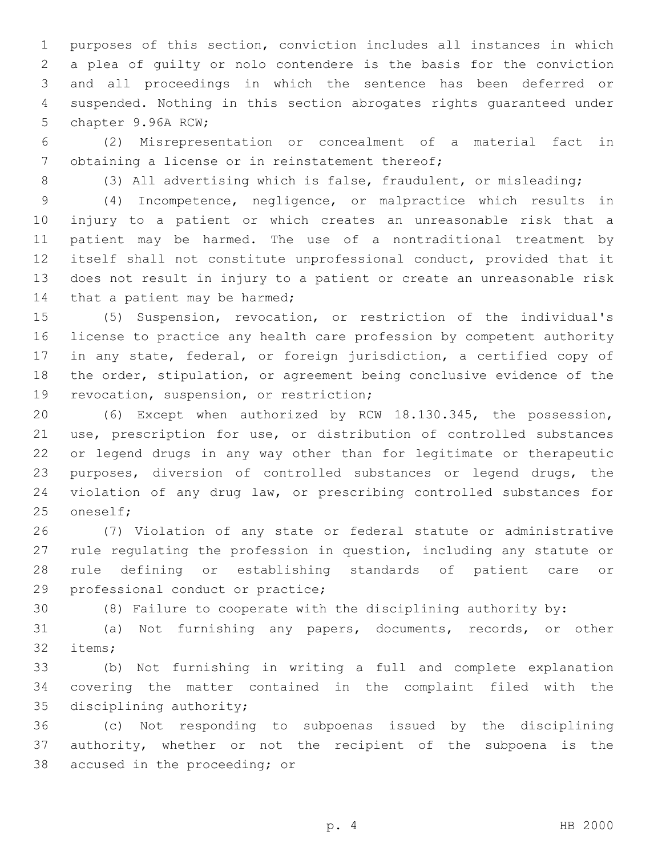purposes of this section, conviction includes all instances in which a plea of guilty or nolo contendere is the basis for the conviction and all proceedings in which the sentence has been deferred or suspended. Nothing in this section abrogates rights guaranteed under 5 chapter 9.96A RCW;

 (2) Misrepresentation or concealment of a material fact in 7 obtaining a license or in reinstatement thereof;

(3) All advertising which is false, fraudulent, or misleading;

 (4) Incompetence, negligence, or malpractice which results in injury to a patient or which creates an unreasonable risk that a patient may be harmed. The use of a nontraditional treatment by itself shall not constitute unprofessional conduct, provided that it does not result in injury to a patient or create an unreasonable risk 14 that a patient may be harmed;

 (5) Suspension, revocation, or restriction of the individual's license to practice any health care profession by competent authority in any state, federal, or foreign jurisdiction, a certified copy of the order, stipulation, or agreement being conclusive evidence of the 19 revocation, suspension, or restriction;

 (6) Except when authorized by RCW 18.130.345, the possession, use, prescription for use, or distribution of controlled substances or legend drugs in any way other than for legitimate or therapeutic purposes, diversion of controlled substances or legend drugs, the violation of any drug law, or prescribing controlled substances for 25 oneself;

 (7) Violation of any state or federal statute or administrative rule regulating the profession in question, including any statute or rule defining or establishing standards of patient care or 29 professional conduct or practice;

(8) Failure to cooperate with the disciplining authority by:

 (a) Not furnishing any papers, documents, records, or other 32 items;

 (b) Not furnishing in writing a full and complete explanation covering the matter contained in the complaint filed with the 35 disciplining authority;

 (c) Not responding to subpoenas issued by the disciplining authority, whether or not the recipient of the subpoena is the 38 accused in the proceeding; or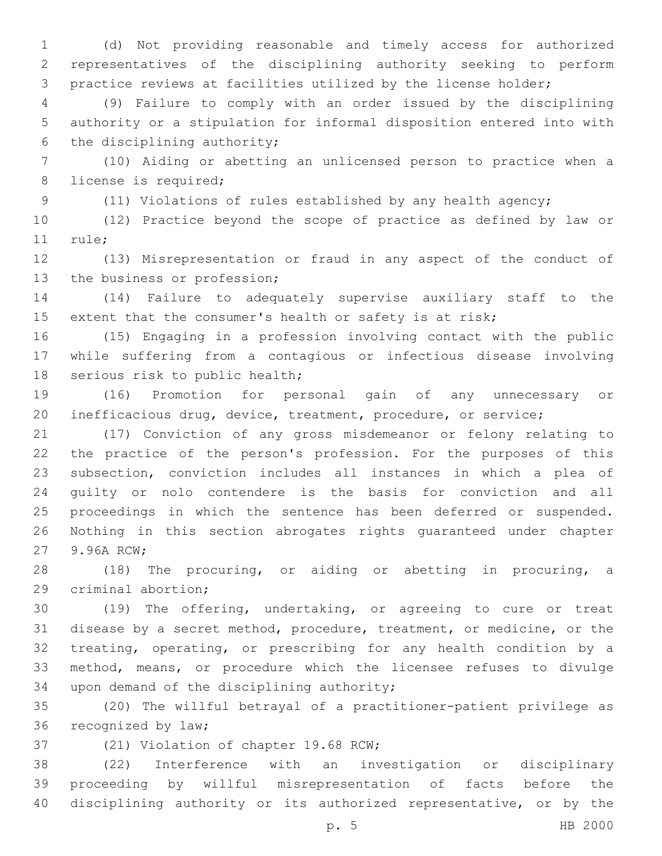(d) Not providing reasonable and timely access for authorized representatives of the disciplining authority seeking to perform practice reviews at facilities utilized by the license holder;

 (9) Failure to comply with an order issued by the disciplining authority or a stipulation for informal disposition entered into with 6 the disciplining authority;

 (10) Aiding or abetting an unlicensed person to practice when a 8 license is required;

(11) Violations of rules established by any health agency;

 (12) Practice beyond the scope of practice as defined by law or 11 rule;

 (13) Misrepresentation or fraud in any aspect of the conduct of 13 the business or profession;

 (14) Failure to adequately supervise auxiliary staff to the extent that the consumer's health or safety is at risk;

 (15) Engaging in a profession involving contact with the public while suffering from a contagious or infectious disease involving 18 serious risk to public health;

 (16) Promotion for personal gain of any unnecessary or inefficacious drug, device, treatment, procedure, or service;

 (17) Conviction of any gross misdemeanor or felony relating to the practice of the person's profession. For the purposes of this subsection, conviction includes all instances in which a plea of guilty or nolo contendere is the basis for conviction and all proceedings in which the sentence has been deferred or suspended. Nothing in this section abrogates rights guaranteed under chapter 27 9.96A RCW;

 (18) The procuring, or aiding or abetting in procuring, a 29 criminal abortion;

 (19) The offering, undertaking, or agreeing to cure or treat disease by a secret method, procedure, treatment, or medicine, or the treating, operating, or prescribing for any health condition by a method, means, or procedure which the licensee refuses to divulge 34 upon demand of the disciplining authority;

 (20) The willful betrayal of a practitioner-patient privilege as 36 recognized by law;

37 (21) Violation of chapter 19.68 RCW;

 (22) Interference with an investigation or disciplinary proceeding by willful misrepresentation of facts before the disciplining authority or its authorized representative, or by the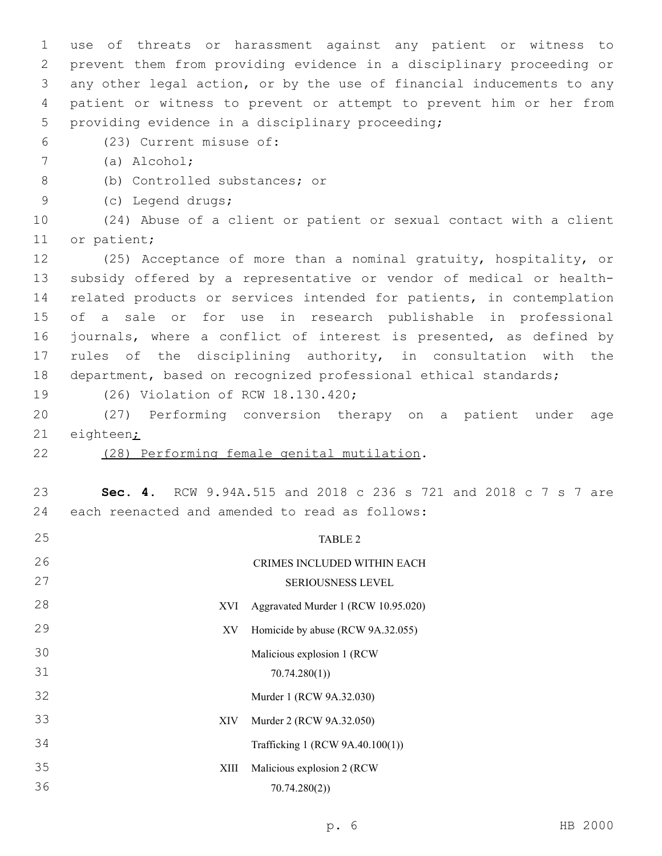use of threats or harassment against any patient or witness to prevent them from providing evidence in a disciplinary proceeding or any other legal action, or by the use of financial inducements to any patient or witness to prevent or attempt to prevent him or her from 5 providing evidence in a disciplinary proceeding;

(23) Current misuse of:6

(a) Alcohol;7

- 8 (b) Controlled substances; or
- (c) Legend drugs;9

 (24) Abuse of a client or patient or sexual contact with a client 11 or patient;

 (25) Acceptance of more than a nominal gratuity, hospitality, or subsidy offered by a representative or vendor of medical or health- related products or services intended for patients, in contemplation of a sale or for use in research publishable in professional journals, where a conflict of interest is presented, as defined by rules of the disciplining authority, in consultation with the department, based on recognized professional ethical standards;

19 (26) Violation of RCW 18.130.420;

 (27) Performing conversion therapy on a patient under age eighteen;

- 
- 22 (28) Performing female genital mutilation.

 **Sec. 4.** RCW 9.94A.515 and 2018 c 236 s 721 and 2018 c 7 s 7 are 24 each reenacted and amended to read as follows:

| 25 |      | TABLE 2                             |
|----|------|-------------------------------------|
| 26 |      | CRIMES INCLUDED WITHIN EACH         |
| 27 |      | SERIOUSNESS LEVEL                   |
| 28 | XVI  | Aggravated Murder 1 (RCW 10.95.020) |
| 29 | XV   | Homicide by abuse (RCW 9A.32.055)   |
| 30 |      | Malicious explosion 1 (RCW          |
| 31 |      | 70.74.280(1)                        |
| 32 |      | Murder 1 (RCW 9A.32.030)            |
| 33 | XIV  | Murder 2 (RCW 9A.32.050)            |
| 34 |      | Trafficking 1 (RCW 9A.40.100(1))    |
| 35 | XIII | Malicious explosion 2 (RCW          |
| 36 |      | 70.74.280(2)                        |
|    |      |                                     |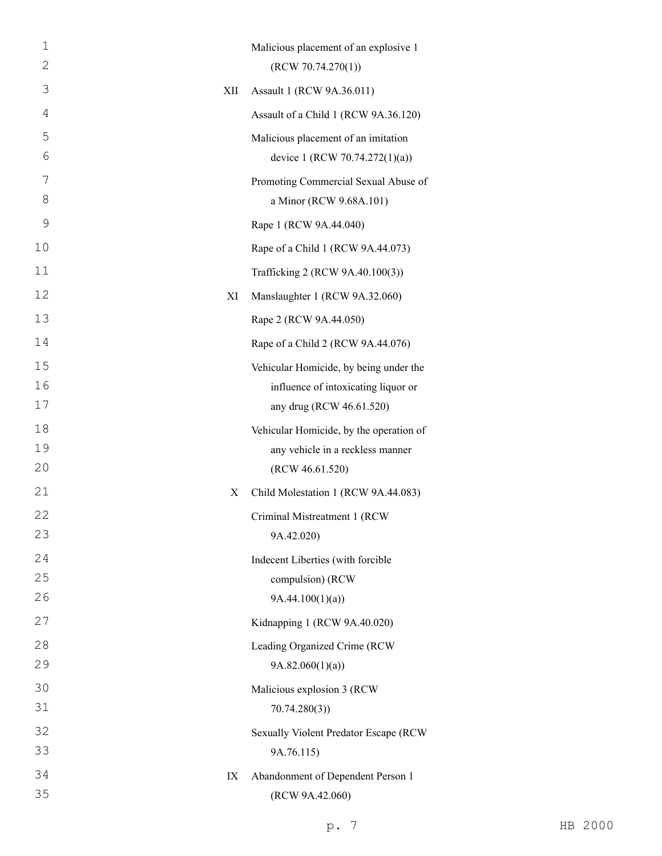| 1<br>2   |     | Malicious placement of an explosive 1<br>(RCW 70.74.270(1)) |
|----------|-----|-------------------------------------------------------------|
| 3        | XII | Assault 1 (RCW 9A.36.011)                                   |
| 4        |     | Assault of a Child 1 (RCW 9A.36.120)                        |
| 5        |     | Malicious placement of an imitation                         |
| 6        |     | device 1 (RCW 70.74.272(1)(a))                              |
| 7        |     | Promoting Commercial Sexual Abuse of                        |
| 8        |     | a Minor (RCW 9.68A.101)                                     |
| 9        |     | Rape 1 (RCW 9A.44.040)                                      |
| 10       |     | Rape of a Child 1 (RCW 9A.44.073)                           |
| 11       |     | Trafficking 2 (RCW 9A.40.100(3))                            |
| 12       | XI  | Manslaughter 1 (RCW 9A.32.060)                              |
| 13       |     | Rape 2 (RCW 9A.44.050)                                      |
| 14       |     | Rape of a Child 2 (RCW 9A.44.076)                           |
| 15       |     | Vehicular Homicide, by being under the                      |
| 16       |     | influence of intoxicating liquor or                         |
| 17       |     | any drug (RCW 46.61.520)                                    |
| 18       |     | Vehicular Homicide, by the operation of                     |
| 19<br>20 |     | any vehicle in a reckless manner<br>(RCW 46.61.520)         |
| 21       | X   | Child Molestation 1 (RCW 9A.44.083)                         |
| 22       |     | Criminal Mistreatment 1 (RCW                                |
| 23       |     | 9A.42.020)                                                  |
| 24       |     | Indecent Liberties (with forcible                           |
| 25       |     | compulsion) (RCW                                            |
| 26       |     | 9A.44.100(1)(a)                                             |
| 27       |     | Kidnapping 1 (RCW 9A.40.020)                                |
| 28       |     | Leading Organized Crime (RCW                                |
| 29       |     | 9A.82.060(1)(a)                                             |
| 30       |     | Malicious explosion 3 (RCW                                  |
| 31       |     | 70.74.280(3)                                                |
| 32       |     | Sexually Violent Predator Escape (RCW                       |
| 33       |     | 9A.76.115)                                                  |
| 34<br>35 | IX  | Abandonment of Dependent Person 1                           |
|          |     | (RCW 9A.42.060)                                             |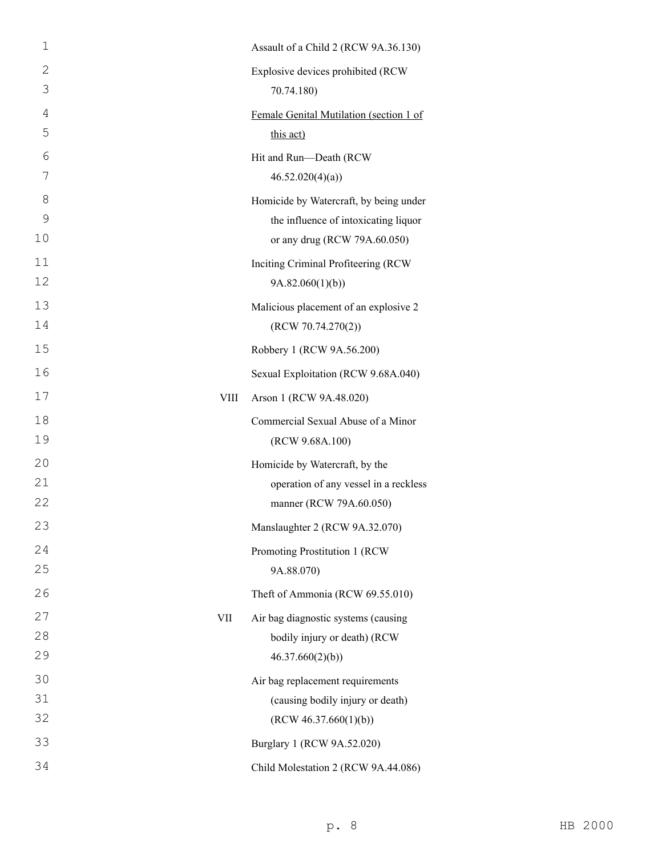| 1            |      | Assault of a Child 2 (RCW 9A.36.130)    |
|--------------|------|-----------------------------------------|
| $\mathbf{2}$ |      | Explosive devices prohibited (RCW       |
| 3            |      | 70.74.180)                              |
| 4            |      | Female Genital Mutilation (section 1 of |
| 5            |      | this act)                               |
| 6            |      | Hit and Run-Death (RCW                  |
| 7            |      | 46.52.020(4)(a)                         |
| 8            |      | Homicide by Watercraft, by being under  |
| 9            |      | the influence of intoxicating liquor    |
| 10           |      | or any drug (RCW 79A.60.050)            |
| 11           |      | Inciting Criminal Profiteering (RCW     |
| 12           |      | 9A.82.060(1)(b)                         |
| 13           |      | Malicious placement of an explosive 2   |
| 14           |      | (RCW 70.74.270(2))                      |
| 15           |      | Robbery 1 (RCW 9A.56.200)               |
| 16           |      | Sexual Exploitation (RCW 9.68A.040)     |
| 17           | VIII | Arson 1 (RCW 9A.48.020)                 |
| 18           |      | Commercial Sexual Abuse of a Minor      |
| 19           |      | (RCW 9.68A.100)                         |
| 20           |      | Homicide by Watercraft, by the          |
| 21           |      | operation of any vessel in a reckless   |
| 22           |      | manner (RCW 79A.60.050)                 |
| 23           |      | Manslaughter 2 (RCW 9A.32.070)          |
| 24           |      | Promoting Prostitution 1 (RCW           |
| 25           |      | 9A.88.070)                              |
| 26           |      | Theft of Ammonia (RCW 69.55.010)        |
| 27           | VII  | Air bag diagnostic systems (causing     |
| 28           |      | bodily injury or death) (RCW            |
| 29           |      | 46.37.660(2)(b)                         |
| 30           |      | Air bag replacement requirements        |
| 31           |      | (causing bodily injury or death)        |
| 32           |      | (RCW 46.37.660(1)(b))                   |
| 33           |      | Burglary 1 (RCW 9A.52.020)              |
| 34           |      | Child Molestation 2 (RCW 9A.44.086)     |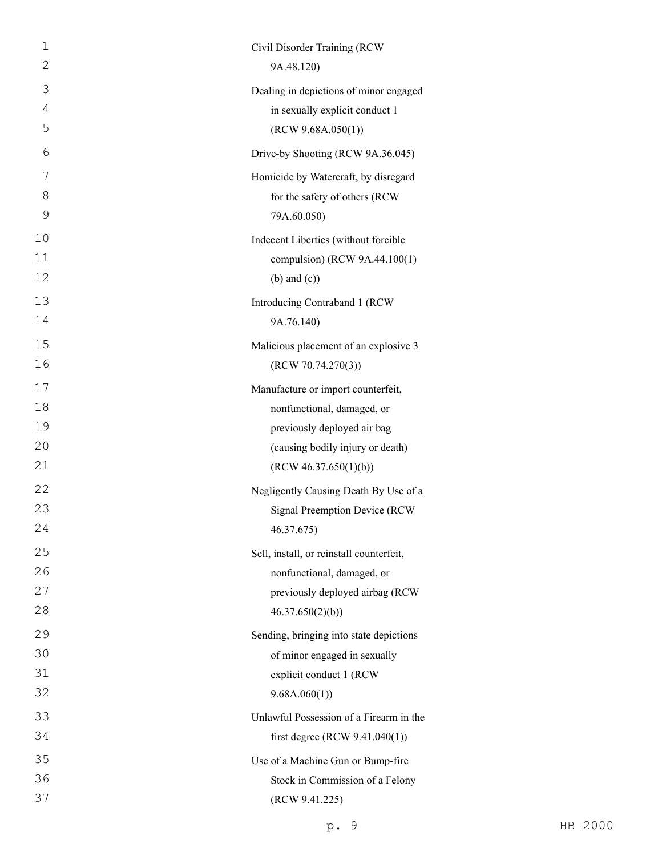| $\mathbf 1$ | Civil Disorder Training (RCW             |
|-------------|------------------------------------------|
| 2           | 9A.48.120)                               |
| 3           | Dealing in depictions of minor engaged   |
| 4           | in sexually explicit conduct 1           |
| 5           | (RCW 9.68A.050(1))                       |
| 6           | Drive-by Shooting (RCW 9A.36.045)        |
| 7           | Homicide by Watercraft, by disregard     |
| 8           | for the safety of others (RCW            |
| 9           | 79A.60.050)                              |
| 10          | Indecent Liberties (without forcible     |
| 11          | compulsion) (RCW 9A.44.100(1)            |
| 12          | $(b)$ and $(c)$ )                        |
| 13          | Introducing Contraband 1 (RCW            |
| 14          | 9A.76.140)                               |
| 15          | Malicious placement of an explosive 3    |
| 16          | (RCW 70.74.270(3))                       |
| 17          | Manufacture or import counterfeit,       |
| 18          | nonfunctional, damaged, or               |
| 19          | previously deployed air bag              |
| 20          | (causing bodily injury or death)         |
| 21          | (RCW 46.37.650(1)(b))                    |
| 22          | Negligently Causing Death By Use of a    |
| 23          | <b>Signal Preemption Device (RCW</b>     |
| 24          | 46.37.675)                               |
| 25          | Sell, install, or reinstall counterfeit, |
| 26          | nonfunctional, damaged, or               |
| 27          | previously deployed airbag (RCW          |
| 28          | 46.37.650(2)(b)                          |
| 29          | Sending, bringing into state depictions  |
| 30          | of minor engaged in sexually             |
| 31          | explicit conduct 1 (RCW                  |
| 32          | 9.68A.060(1)                             |
| 33          | Unlawful Possession of a Firearm in the  |
| 34          | first degree (RCW $9.41.040(1)$ )        |
| 35          | Use of a Machine Gun or Bump-fire        |
| 36          | Stock in Commission of a Felony          |
| 37          | (RCW 9.41.225)                           |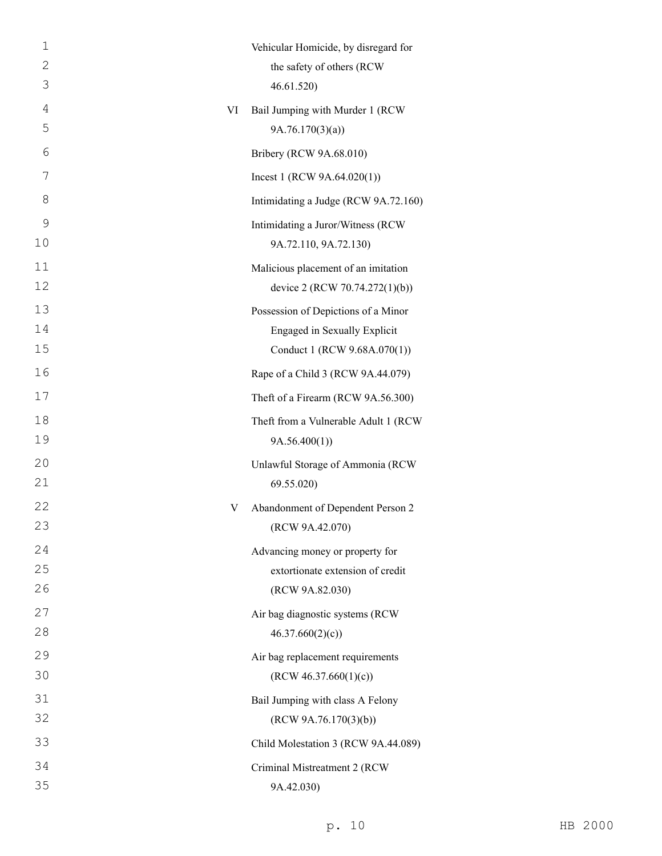| $\mathbf 1$       |    | Vehicular Homicide, by disregard for                                  |
|-------------------|----|-----------------------------------------------------------------------|
| $\mathbf{2}$<br>3 |    | the safety of others (RCW<br>46.61.520)                               |
| $\overline{4}$    |    |                                                                       |
| 5                 | VI | Bail Jumping with Murder 1 (RCW<br>9A.76.170(3)(a)                    |
| 6                 |    | Bribery (RCW 9A.68.010)                                               |
| 7                 |    | Incest 1 (RCW $9A.64.020(1)$ )                                        |
| 8                 |    |                                                                       |
|                   |    | Intimidating a Judge (RCW 9A.72.160)                                  |
| 9<br>10           |    | Intimidating a Juror/Witness (RCW<br>9A.72.110, 9A.72.130)            |
|                   |    |                                                                       |
| 11<br>12          |    | Malicious placement of an imitation<br>device 2 (RCW 70.74.272(1)(b)) |
| 13                |    | Possession of Depictions of a Minor                                   |
| 14                |    | Engaged in Sexually Explicit                                          |
| 15                |    | Conduct 1 (RCW 9.68A.070(1))                                          |
| 16                |    | Rape of a Child 3 (RCW 9A.44.079)                                     |
| 17                |    | Theft of a Firearm (RCW 9A.56.300)                                    |
| 18                |    | Theft from a Vulnerable Adult 1 (RCW                                  |
| 19                |    | 9A.56.400(1)                                                          |
| 20                |    | Unlawful Storage of Ammonia (RCW                                      |
| 21                |    | 69.55.020)                                                            |
| 22                | V  | Abandonment of Dependent Person 2                                     |
| 23                |    | (RCW 9A.42.070)                                                       |
| 24                |    | Advancing money or property for                                       |
| 25                |    | extortionate extension of credit                                      |
| 26                |    | (RCW 9A.82.030)                                                       |
| 27                |    | Air bag diagnostic systems (RCW                                       |
| 28                |    | 46.37.660(2)(c)                                                       |
| 29                |    | Air bag replacement requirements                                      |
| 30                |    | (RCW 46.37.660(1)(c))                                                 |
| 31                |    | Bail Jumping with class A Felony                                      |
| 32                |    | (RCW 9A.76.170(3)(b))                                                 |
| 33                |    | Child Molestation 3 (RCW 9A.44.089)                                   |
| 34                |    | Criminal Mistreatment 2 (RCW                                          |
| 35                |    | 9A.42.030)                                                            |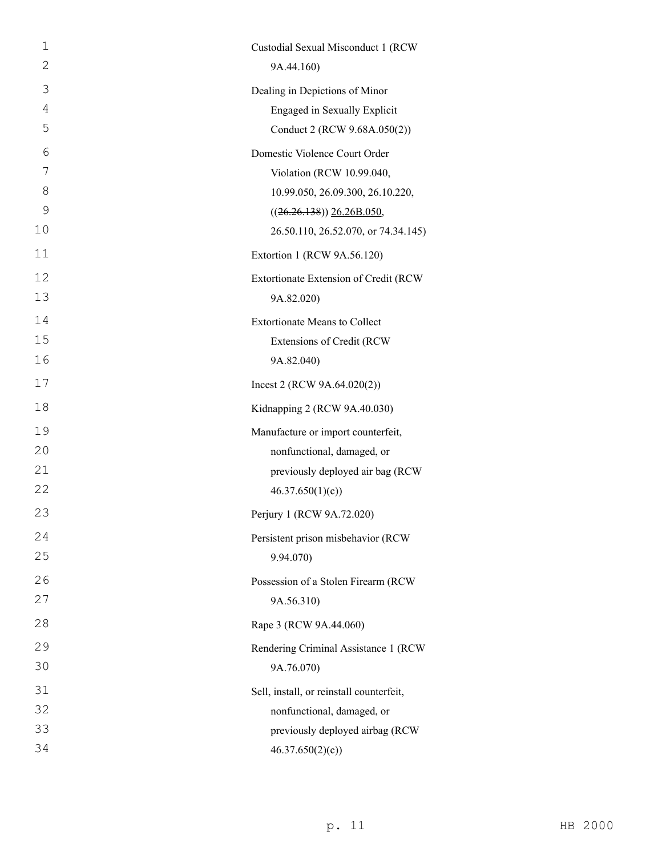| $\mathbf 1$    | Custodial Sexual Misconduct 1 (RCW       |
|----------------|------------------------------------------|
| 2              | 9A.44.160)                               |
| 3              | Dealing in Depictions of Minor           |
| $\overline{4}$ | Engaged in Sexually Explicit             |
| 5              | Conduct 2 (RCW 9.68A.050(2))             |
| 6              | Domestic Violence Court Order            |
| 7              | Violation (RCW 10.99.040,                |
| 8              | 10.99.050, 26.09.300, 26.10.220,         |
| 9              | $((26.26.138))$ $26.26B.050$ ,           |
| 10             | 26.50.110, 26.52.070, or 74.34.145)      |
| 11             | Extortion 1 (RCW 9A.56.120)              |
| 12             | Extortionate Extension of Credit (RCW    |
| 13             | 9A.82.020)                               |
| 14             | <b>Extortionate Means to Collect</b>     |
| 15             | Extensions of Credit (RCW                |
| 16             | 9A.82.040)                               |
| 17             | Incest 2 (RCW $9A.64.020(2)$ )           |
| 18             | Kidnapping 2 (RCW 9A.40.030)             |
| 19             | Manufacture or import counterfeit,       |
| 20             | nonfunctional, damaged, or               |
| 21             | previously deployed air bag (RCW         |
| 22             | 46.37.650(1)(c)                          |
| 23             | Perjury 1 (RCW 9A.72.020)                |
| 24             | Persistent prison misbehavior (RCW       |
| 25             | 9.94.070)                                |
| 26             | Possession of a Stolen Firearm (RCW      |
| 27             | 9A.56.310)                               |
| 28             | Rape 3 (RCW 9A.44.060)                   |
| 29             | Rendering Criminal Assistance 1 (RCW     |
| 30             | 9A.76.070)                               |
| 31             | Sell, install, or reinstall counterfeit, |
|                |                                          |
| 32             | nonfunctional, damaged, or               |
| 33             | previously deployed airbag (RCW          |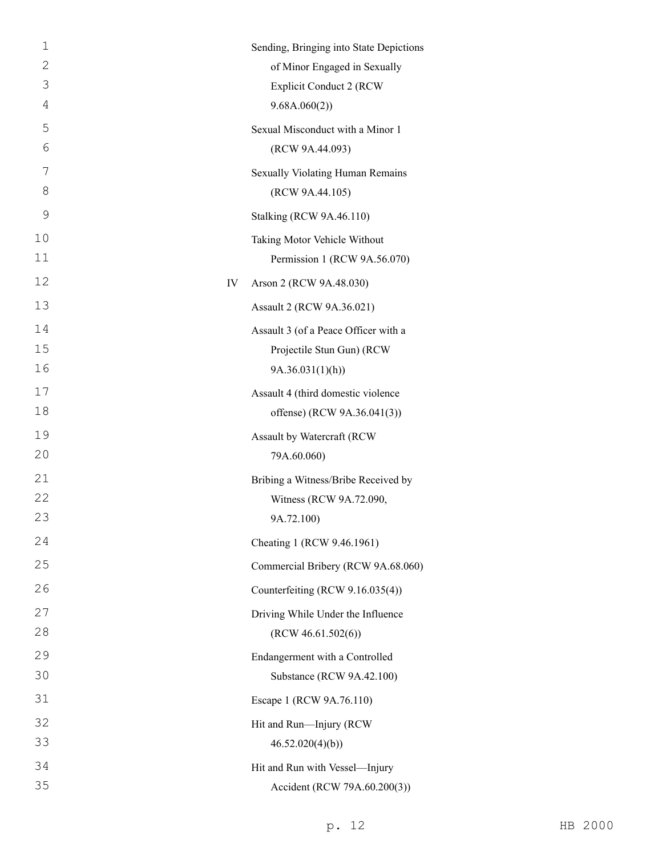| 1<br>$\mathbf{2}$<br>3<br>4 |    | Sending, Bringing into State Depictions<br>of Minor Engaged in Sexually<br><b>Explicit Conduct 2 (RCW</b><br>9.68A.060(2) |
|-----------------------------|----|---------------------------------------------------------------------------------------------------------------------------|
| 5<br>6                      |    | Sexual Misconduct with a Minor 1<br>(RCW 9A.44.093)                                                                       |
| 7<br>8                      |    | Sexually Violating Human Remains<br>(RCW 9A.44.105)                                                                       |
| 9                           |    | Stalking (RCW 9A.46.110)                                                                                                  |
| 10<br>11                    |    | Taking Motor Vehicle Without<br>Permission 1 (RCW 9A.56.070)                                                              |
| 12                          | IV | Arson 2 (RCW 9A.48.030)                                                                                                   |
| 13                          |    | Assault 2 (RCW 9A.36.021)                                                                                                 |
| 14<br>15                    |    | Assault 3 (of a Peace Officer with a<br>Projectile Stun Gun) (RCW                                                         |
| 16                          |    | 9A.36.031(1)(h)                                                                                                           |
| 17<br>18                    |    | Assault 4 (third domestic violence<br>offense) (RCW 9A.36.041(3))                                                         |
| 19<br>20                    |    | Assault by Watercraft (RCW<br>79A.60.060)                                                                                 |
| 21<br>22<br>23              |    | Bribing a Witness/Bribe Received by<br>Witness (RCW 9A.72.090,<br>9A.72.100)                                              |
| 24                          |    | Cheating 1 (RCW 9.46.1961)                                                                                                |
| 25                          |    | Commercial Bribery (RCW 9A.68.060)                                                                                        |
| 26                          |    | Counterfeiting (RCW 9.16.035(4))                                                                                          |
| 27                          |    | Driving While Under the Influence                                                                                         |
| 28                          |    | (RCW 46.61.502(6))                                                                                                        |
| 29<br>30                    |    | Endangerment with a Controlled<br>Substance (RCW 9A.42.100)                                                               |
| 31                          |    | Escape 1 (RCW 9A.76.110)                                                                                                  |
| 32                          |    | Hit and Run-Injury (RCW                                                                                                   |
| 33                          |    | 46.52.020(4)(b)                                                                                                           |
| 34<br>35                    |    | Hit and Run with Vessel-Injury<br>Accident (RCW 79A.60.200(3))                                                            |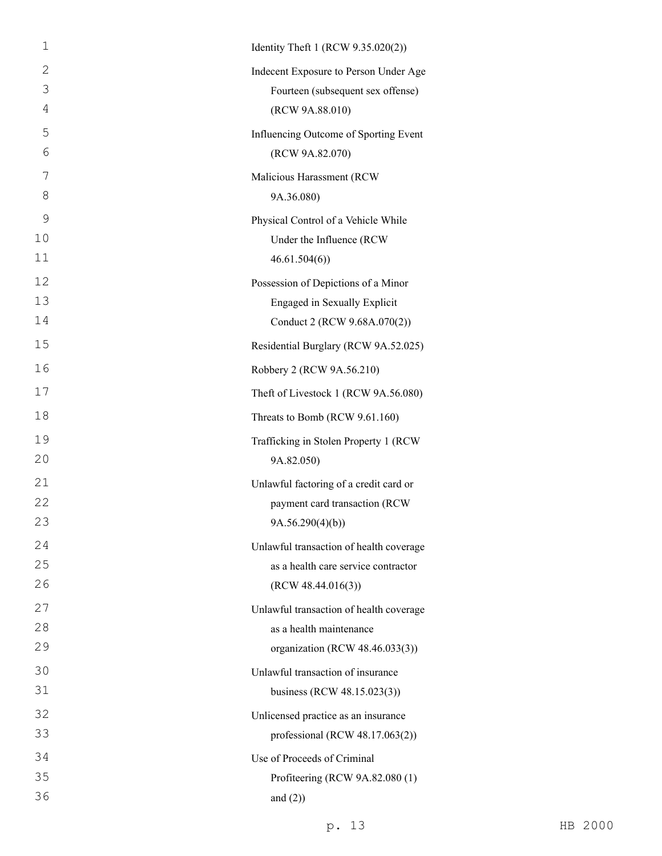| $\mathbf 1$  | Identity Theft 1 (RCW 9.35.020(2))      |
|--------------|-----------------------------------------|
| $\mathbf{2}$ | Indecent Exposure to Person Under Age   |
| 3            | Fourteen (subsequent sex offense)       |
| 4            | (RCW 9A.88.010)                         |
| 5            | Influencing Outcome of Sporting Event   |
| 6            | (RCW 9A.82.070)                         |
| 7            | Malicious Harassment (RCW               |
| 8            | 9A.36.080)                              |
| 9            | Physical Control of a Vehicle While     |
| 10           | Under the Influence (RCW                |
| 11           | 46.61.504(6)                            |
| 12           | Possession of Depictions of a Minor     |
| 13           | Engaged in Sexually Explicit            |
| 14           | Conduct 2 (RCW 9.68A.070(2))            |
| 15           | Residential Burglary (RCW 9A.52.025)    |
| 16           | Robbery 2 (RCW 9A.56.210)               |
| 17           | Theft of Livestock 1 (RCW 9A.56.080)    |
| 18           | Threats to Bomb (RCW 9.61.160)          |
| 19           | Trafficking in Stolen Property 1 (RCW   |
| 20           | 9A.82.050)                              |
| 21           | Unlawful factoring of a credit card or  |
| 22           | payment card transaction (RCW           |
| 23           | 9A.56.290(4)(b))                        |
| 24           | Unlawful transaction of health coverage |
| 25           | as a health care service contractor     |
| 26           | (RCW 48.44.016(3))                      |
| 27           | Unlawful transaction of health coverage |
| 28           | as a health maintenance                 |
| 29           | organization (RCW 48.46.033(3))         |
| 30           | Unlawful transaction of insurance       |
| 31           | business (RCW 48.15.023(3))             |
| 32           | Unlicensed practice as an insurance     |
| 33           | professional (RCW $48.17.063(2)$ )      |
| 34           | Use of Proceeds of Criminal             |
| 35           | Profiteering (RCW 9A.82.080 (1)         |
| 36           | and $(2)$ )                             |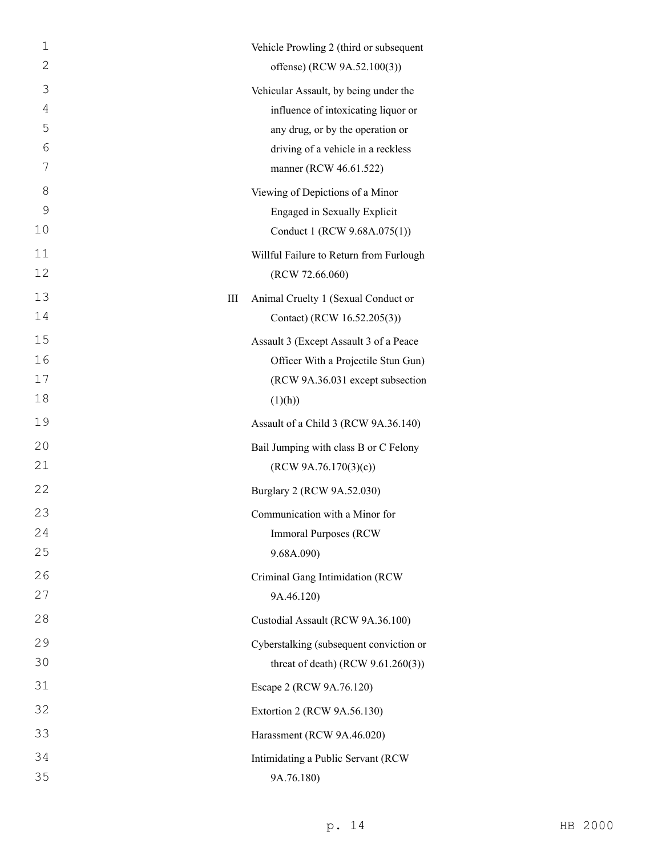| 1              |           | Vehicle Prowling 2 (third or subsequent |
|----------------|-----------|-----------------------------------------|
| $\mathbf{2}$   |           | offense) (RCW 9A.52.100(3))             |
| 3              |           | Vehicular Assault, by being under the   |
| $\overline{4}$ |           | influence of intoxicating liquor or     |
| 5              |           | any drug, or by the operation or        |
| 6              |           | driving of a vehicle in a reckless      |
| 7              |           | manner (RCW 46.61.522)                  |
| 8              |           | Viewing of Depictions of a Minor        |
| 9              |           | Engaged in Sexually Explicit            |
| 10             |           | Conduct 1 (RCW 9.68A.075(1))            |
| 11             |           | Willful Failure to Return from Furlough |
| 12             |           | (RCW 72.66.060)                         |
| 13             | $\rm III$ | Animal Cruelty 1 (Sexual Conduct or     |
| 14             |           | Contact) (RCW 16.52.205(3))             |
| 15             |           | Assault 3 (Except Assault 3 of a Peace  |
| 16             |           | Officer With a Projectile Stun Gun)     |
| 17             |           | (RCW 9A.36.031 except subsection        |
| 18             |           | (1)(h))                                 |
| 19             |           | Assault of a Child 3 (RCW 9A.36.140)    |
| 20             |           | Bail Jumping with class B or C Felony   |
| 21             |           | (RCW 9A.76.170(3)(c))                   |
| 22             |           | Burglary 2 (RCW 9A.52.030)              |
| 23             |           | Communication with a Minor for          |
| 24             |           | <b>Immoral Purposes (RCW)</b>           |
| 25             |           | 9.68A.090)                              |
| 26             |           | Criminal Gang Intimidation (RCW         |
| 27             |           | 9A.46.120)                              |
| 28             |           | Custodial Assault (RCW 9A.36.100)       |
| 29             |           | Cyberstalking (subsequent conviction or |
| 30             |           | threat of death) (RCW $9.61.260(3)$ )   |
| 31             |           | Escape 2 (RCW 9A.76.120)                |
| 32             |           | Extortion 2 (RCW 9A.56.130)             |
| 33             |           | Harassment (RCW 9A.46.020)              |
| 34             |           | Intimidating a Public Servant (RCW      |
| 35             |           | 9A.76.180)                              |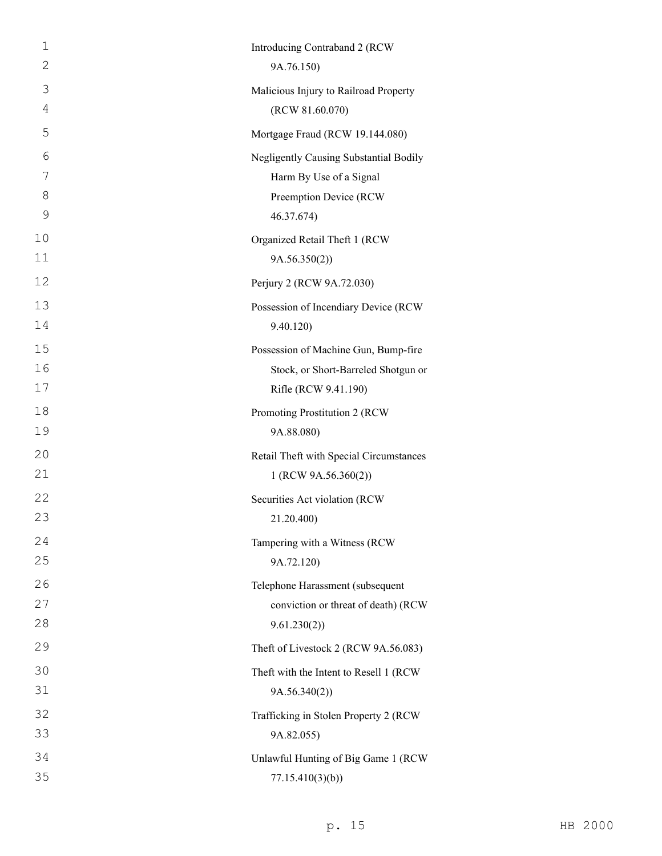| 1  | Introducing Contraband 2 (RCW           |
|----|-----------------------------------------|
| 2  | 9A.76.150)                              |
| 3  | Malicious Injury to Railroad Property   |
| 4  | (RCW 81.60.070)                         |
| 5  | Mortgage Fraud (RCW 19.144.080)         |
| 6  | Negligently Causing Substantial Bodily  |
| 7  | Harm By Use of a Signal                 |
| 8  | Preemption Device (RCW                  |
| 9  | 46.37.674)                              |
| 10 | Organized Retail Theft 1 (RCW           |
| 11 | 9A.56.350(2)                            |
| 12 | Perjury 2 (RCW 9A.72.030)               |
| 13 | Possession of Incendiary Device (RCW    |
| 14 | 9.40.120)                               |
| 15 | Possession of Machine Gun, Bump-fire    |
| 16 | Stock, or Short-Barreled Shotgun or     |
| 17 | Rifle (RCW 9.41.190)                    |
| 18 | Promoting Prostitution 2 (RCW           |
| 19 | 9A.88.080)                              |
| 20 | Retail Theft with Special Circumstances |
| 21 | 1 (RCW 9A.56.360(2))                    |
| 22 | Securities Act violation (RCW           |
| 23 | 21.20.400)                              |
| 24 | Tampering with a Witness (RCW           |
| 25 | 9A.72.120)                              |
| 26 | Telephone Harassment (subsequent        |
| 27 | conviction or threat of death) (RCW     |
| 28 | 9.61.230(2))                            |
| 29 | Theft of Livestock 2 (RCW 9A.56.083)    |
| 30 | Theft with the Intent to Resell 1 (RCW  |
| 31 | 9A.56.340(2))                           |
| 32 | Trafficking in Stolen Property 2 (RCW   |
| 33 | 9A.82.055)                              |
| 34 | Unlawful Hunting of Big Game 1 (RCW     |
| 35 | 77.15.410(3)(b)                         |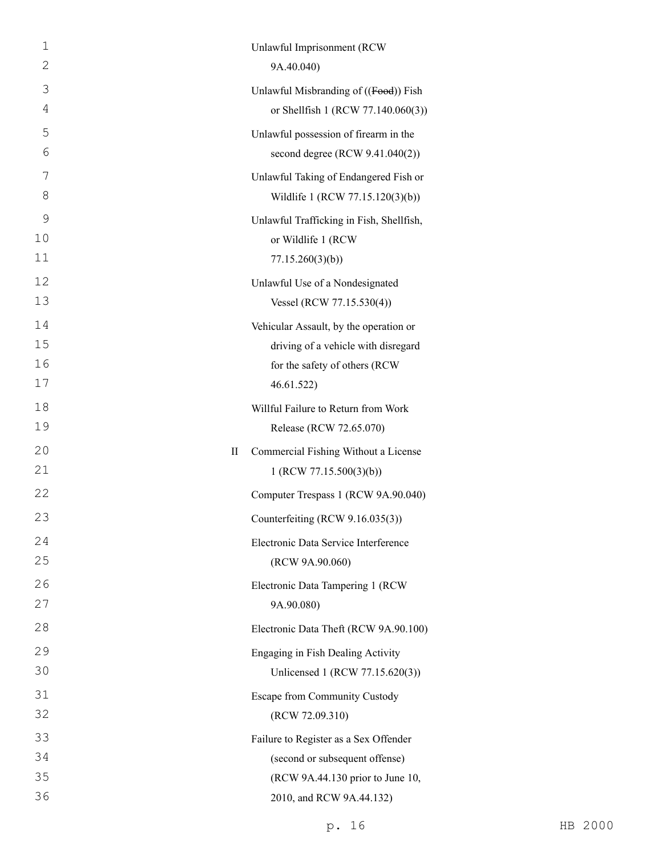| 1<br>$\mathbf{2}$ | Unlawful Imprisonment (RCW<br>9A.40.040)                       |
|-------------------|----------------------------------------------------------------|
| 3                 | Unlawful Misbranding of ((Food)) Fish                          |
| 4                 | or Shellfish 1 (RCW 77.140.060(3))                             |
| 5                 | Unlawful possession of firearm in the                          |
| 6                 | second degree (RCW 9.41.040(2))                                |
| 7                 | Unlawful Taking of Endangered Fish or                          |
| 8                 | Wildlife 1 (RCW 77.15.120(3)(b))                               |
| 9                 | Unlawful Trafficking in Fish, Shellfish,                       |
| 10                | or Wildlife 1 (RCW                                             |
| 11                | 77.15.260(3)(b)                                                |
| 12                | Unlawful Use of a Nondesignated                                |
| 13                | Vessel (RCW 77.15.530(4))                                      |
| 14                | Vehicular Assault, by the operation or                         |
| 15                | driving of a vehicle with disregard                            |
| 16<br>17          | for the safety of others (RCW<br>46.61.522)                    |
| 18                |                                                                |
| 19                | Willful Failure to Return from Work<br>Release (RCW 72.65.070) |
| 20                | Commercial Fishing Without a License<br>П                      |
| 21                | 1 (RCW 77.15.500(3)(b))                                        |
| 22                | Computer Trespass 1 (RCW 9A.90.040)                            |
| 23                | Counterfeiting (RCW 9.16.035(3))                               |
| 24                | Electronic Data Service Interference                           |
| 25                | (RCW 9A.90.060)                                                |
| 26                | Electronic Data Tampering 1 (RCW)                              |
| 27                | 9A.90.080)                                                     |
| 28                | Electronic Data Theft (RCW 9A.90.100)                          |
| 29                | Engaging in Fish Dealing Activity                              |
| 30                | Unlicensed 1 (RCW 77.15.620(3))                                |
| 31                | Escape from Community Custody                                  |
| 32                | (RCW 72.09.310)                                                |
| 33                | Failure to Register as a Sex Offender                          |
| 34                | (second or subsequent offense)                                 |
| 35                | (RCW 9A.44.130 prior to June 10,                               |
| 36                | 2010, and RCW 9A.44.132)                                       |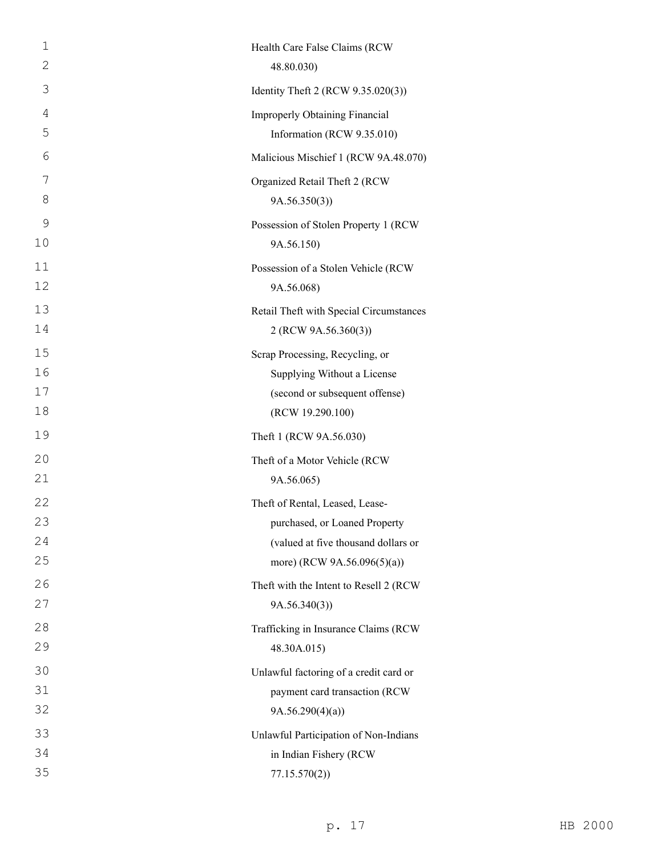| $\mathbf 1$ | Health Care False Claims (RCW           |
|-------------|-----------------------------------------|
| 2           | 48.80.030)                              |
| 3           | Identity Theft 2 (RCW 9.35.020(3))      |
| 4           | <b>Improperly Obtaining Financial</b>   |
| 5           | Information (RCW 9.35.010)              |
| 6           | Malicious Mischief 1 (RCW 9A.48.070)    |
| 7           | Organized Retail Theft 2 (RCW           |
| 8           | 9A.56.350(3)                            |
| 9           | Possession of Stolen Property 1 (RCW    |
| 10          | 9A.56.150)                              |
| 11          | Possession of a Stolen Vehicle (RCW     |
| 12          | 9A.56.068)                              |
| 13          | Retail Theft with Special Circumstances |
| 14          | 2 (RCW 9A.56.360(3))                    |
| 15          | Scrap Processing, Recycling, or         |
| 16          | Supplying Without a License             |
| 17          | (second or subsequent offense)          |
| 18          | (RCW 19.290.100)                        |
| 19          | Theft 1 (RCW 9A.56.030)                 |
| 20          | Theft of a Motor Vehicle (RCW           |
| 21          | 9A.56.065)                              |
| 22          | Theft of Rental, Leased, Lease-         |
| 23          | purchased, or Loaned Property           |
| 24          | (valued at five thousand dollars or     |
| 25          | more) (RCW 9A.56.096(5)(a))             |
| 26          | Theft with the Intent to Resell 2 (RCW  |
| 27          | 9A.56.340(3)                            |
| 28          | Trafficking in Insurance Claims (RCW    |
| 29          | 48.30A.015)                             |
| 30          | Unlawful factoring of a credit card or  |
| 31          | payment card transaction (RCW           |
| 32          | 9A.56.290(4)(a)                         |
| 33          | Unlawful Participation of Non-Indians   |
| 34          | in Indian Fishery (RCW                  |
| 35          | 77.15.570(2)                            |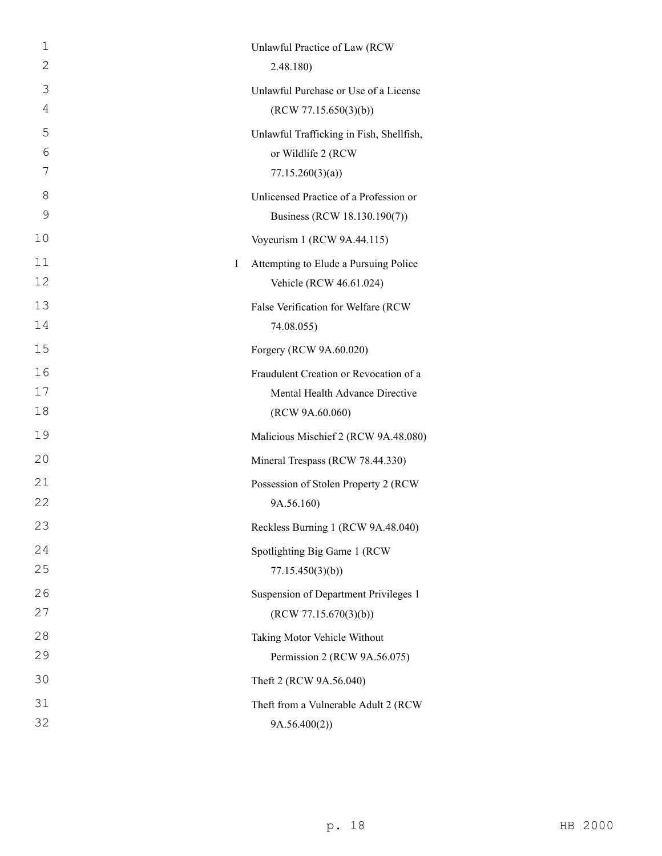| 1<br>2   | Unlawful Practice of Law (RCW                                                   |
|----------|---------------------------------------------------------------------------------|
|          | 2.48.180)                                                                       |
| 3<br>4   | Unlawful Purchase or Use of a License                                           |
| 5        | (RCW 77.15.650(3)(b))                                                           |
| 6        | Unlawful Trafficking in Fish, Shellfish,<br>or Wildlife 2 (RCW                  |
| 7        | 77.15.260(3)(a)                                                                 |
| 8        | Unlicensed Practice of a Profession or                                          |
| 9        | Business (RCW 18.130.190(7))                                                    |
| 10       | Voyeurism 1 (RCW 9A.44.115)                                                     |
| 11<br>12 | Attempting to Elude a Pursuing Police<br>$\mathbf I$<br>Vehicle (RCW 46.61.024) |
| 13       | False Verification for Welfare (RCW                                             |
| 14       | 74.08.055)                                                                      |
| 15       | Forgery (RCW 9A.60.020)                                                         |
| 16       | Fraudulent Creation or Revocation of a                                          |
| 17       | Mental Health Advance Directive                                                 |
| 18       | (RCW 9A.60.060)                                                                 |
| 19       | Malicious Mischief 2 (RCW 9A.48.080)                                            |
| 20       | Mineral Trespass (RCW 78.44.330)                                                |
| 21       | Possession of Stolen Property 2 (RCW                                            |
| 22       | 9A.56.160)                                                                      |
| 23       | Reckless Burning 1 (RCW 9A.48.040)                                              |
| 24       | Spotlighting Big Game 1 (RCW                                                    |
| 25       | 77.15.450(3)(b)                                                                 |
| 26       | Suspension of Department Privileges 1                                           |
| 27       | (RCW 77.15.670(3)(b))                                                           |
| 28       | Taking Motor Vehicle Without                                                    |
| 29       | Permission 2 (RCW 9A.56.075)                                                    |
| 30       | Theft 2 (RCW 9A.56.040)                                                         |
| 31       | Theft from a Vulnerable Adult 2 (RCW                                            |
| 32       | 9A.56.400(2))                                                                   |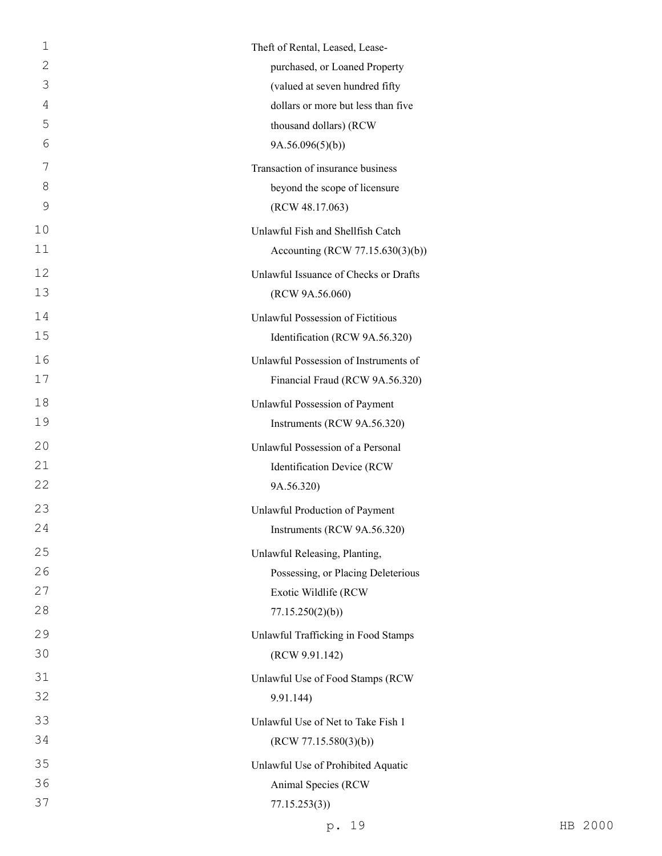| 1  | Theft of Rental, Leased, Lease-       |
|----|---------------------------------------|
| 2  | purchased, or Loaned Property         |
| 3  | (valued at seven hundred fifty        |
| 4  | dollars or more but less than five    |
| 5  | thousand dollars) (RCW                |
| 6  | 9A.56.096(5)(b)                       |
| 7  | Transaction of insurance business     |
| 8  | beyond the scope of licensure         |
| 9  | (RCW 48.17.063)                       |
| 10 | Unlawful Fish and Shellfish Catch     |
| 11 | Accounting (RCW 77.15.630(3)(b))      |
| 12 | Unlawful Issuance of Checks or Drafts |
| 13 | (RCW 9A.56.060)                       |
| 14 | Unlawful Possession of Fictitious     |
| 15 | Identification (RCW 9A.56.320)        |
| 16 | Unlawful Possession of Instruments of |
| 17 | Financial Fraud (RCW 9A.56.320)       |
| 18 | Unlawful Possession of Payment        |
| 19 | Instruments (RCW 9A.56.320)           |
| 20 | Unlawful Possession of a Personal     |
| 21 | Identification Device (RCW            |
| 22 | 9A.56.320)                            |
| 23 | Unlawful Production of Payment        |
| 24 | Instruments (RCW 9A.56.320)           |
| 25 | Unlawful Releasing, Planting,         |
| 26 | Possessing, or Placing Deleterious    |
| 27 | Exotic Wildlife (RCW                  |
| 28 | 77.15.250(2)(b)                       |
| 29 | Unlawful Trafficking in Food Stamps   |
| 30 | (RCW 9.91.142)                        |
| 31 | Unlawful Use of Food Stamps (RCW      |
| 32 | 9.91.144)                             |
| 33 | Unlawful Use of Net to Take Fish 1    |
| 34 | (RCW 77.15.580(3)(b))                 |
| 35 | Unlawful Use of Prohibited Aquatic    |
| 36 | Animal Species (RCW                   |
| 37 | 77.15.253(3)                          |